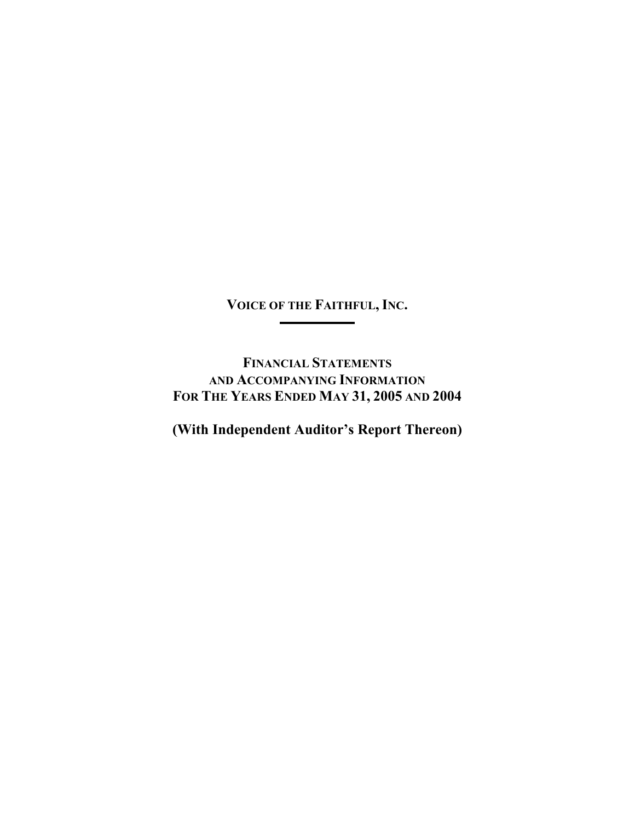**VOICE OF THE FAITHFUL, INC.**  <u> 1989 - Johann Barnett, fransk kongres</u>

L.

**FINANCIAL STATEMENTS AND ACCOMPANYING INFORMATION FOR THE YEARS ENDED MAY 31, 2005 AND 2004** 

**(With Independent Auditor's Report Thereon)**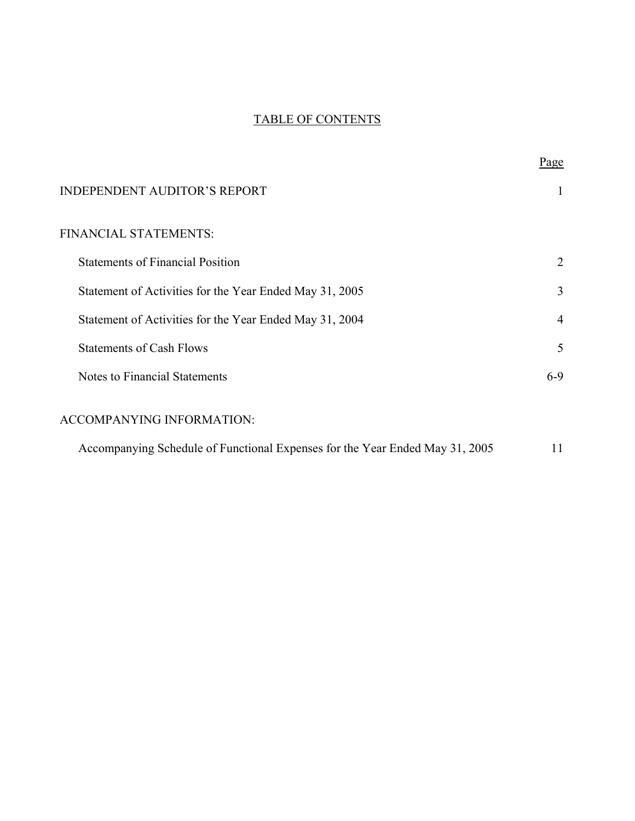## TABLE OF CONTENTS

|                                                                              | <u>Page</u> |
|------------------------------------------------------------------------------|-------------|
| <b>INDEPENDENT AUDITOR'S REPORT</b>                                          | 1           |
| FINANCIAL STATEMENTS:                                                        |             |
| <b>Statements of Financial Position</b>                                      | 2           |
| Statement of Activities for the Year Ended May 31, 2005                      | 3           |
| Statement of Activities for the Year Ended May 31, 2004                      | 4           |
| <b>Statements of Cash Flows</b>                                              | 5           |
| Notes to Financial Statements                                                | $6-9$       |
| <b>ACCOMPANYING INFORMATION:</b>                                             |             |
| Accompanying Schedule of Functional Expenses for the Year Ended May 31, 2005 | 11          |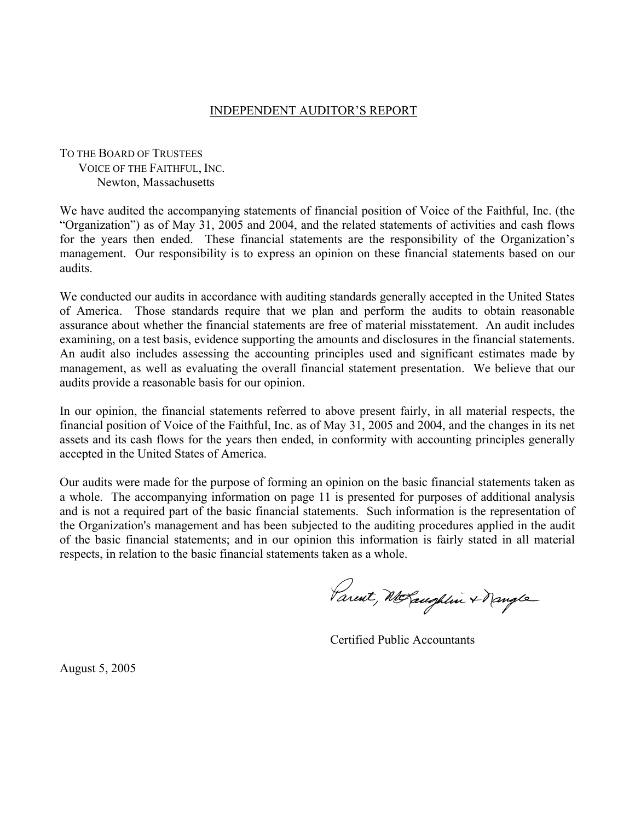### INDEPENDENT AUDITOR'S REPORT

### TO THE BOARD OF TRUSTEES VOICE OF THE FAITHFUL, INC. Newton, Massachusetts

We have audited the accompanying statements of financial position of Voice of the Faithful, Inc. (the "Organization") as of May 31, 2005 and 2004, and the related statements of activities and cash flows for the years then ended. These financial statements are the responsibility of the Organization's management. Our responsibility is to express an opinion on these financial statements based on our audits.

We conducted our audits in accordance with auditing standards generally accepted in the United States of America. Those standards require that we plan and perform the audits to obtain reasonable assurance about whether the financial statements are free of material misstatement. An audit includes examining, on a test basis, evidence supporting the amounts and disclosures in the financial statements. An audit also includes assessing the accounting principles used and significant estimates made by management, as well as evaluating the overall financial statement presentation. We believe that our audits provide a reasonable basis for our opinion.

In our opinion, the financial statements referred to above present fairly, in all material respects, the financial position of Voice of the Faithful, Inc. as of May 31, 2005 and 2004, and the changes in its net assets and its cash flows for the years then ended, in conformity with accounting principles generally accepted in the United States of America.

Our audits were made for the purpose of forming an opinion on the basic financial statements taken as a whole. The accompanying information on page 11 is presented for purposes of additional analysis and is not a required part of the basic financial statements. Such information is the representation of the Organization's management and has been subjected to the auditing procedures applied in the audit of the basic financial statements; and in our opinion this information is fairly stated in all material respects, in relation to the basic financial statements taken as a whole.

Parent, McLaughlin + Nangle

Certified Public Accountants

August 5, 2005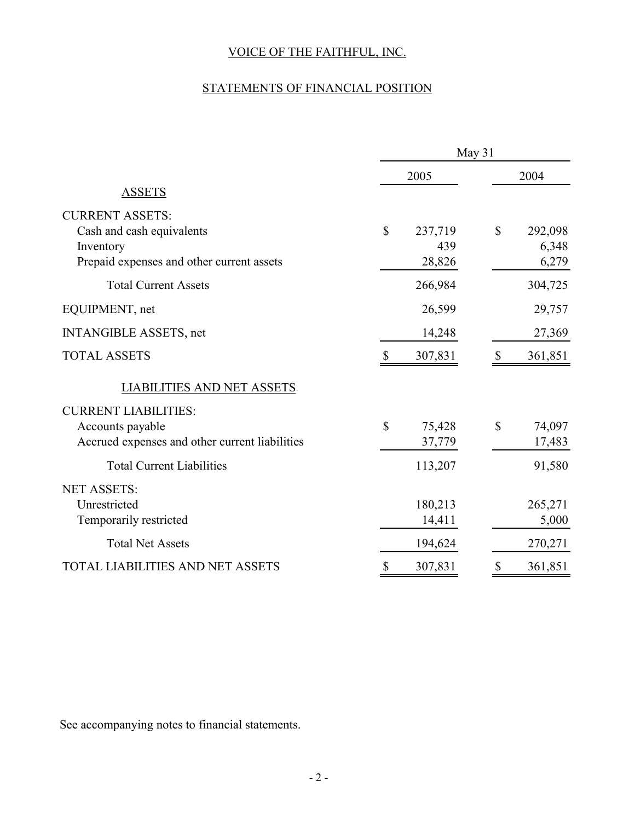# STATEMENTS OF FINANCIAL POSITION

|                                                | May 31       |                |              |                  |  |
|------------------------------------------------|--------------|----------------|--------------|------------------|--|
|                                                |              | 2005           |              | 2004             |  |
| <b>ASSETS</b>                                  |              |                |              |                  |  |
| <b>CURRENT ASSETS:</b>                         |              |                |              |                  |  |
| Cash and cash equivalents<br>Inventory         | $\mathbb{S}$ | 237,719<br>439 | \$           | 292,098<br>6,348 |  |
| Prepaid expenses and other current assets      |              | 28,826         |              | 6,279            |  |
| <b>Total Current Assets</b>                    |              | 266,984        |              | 304,725          |  |
| EQUIPMENT, net                                 |              | 26,599         |              | 29,757           |  |
| <b>INTANGIBLE ASSETS, net</b>                  |              | 14,248         |              | 27,369           |  |
| <b>TOTAL ASSETS</b>                            | $\mathbb{S}$ | 307,831        | $\mathbb{S}$ | 361,851          |  |
| <b>LIABILITIES AND NET ASSETS</b>              |              |                |              |                  |  |
| <b>CURRENT LIABILITIES:</b>                    |              |                |              |                  |  |
| Accounts payable                               | $\mathbb{S}$ | 75,428         | $\mathbb{S}$ | 74,097           |  |
| Accrued expenses and other current liabilities |              | 37,779         |              | 17,483           |  |
| <b>Total Current Liabilities</b>               |              | 113,207        |              | 91,580           |  |
| <b>NET ASSETS:</b>                             |              |                |              |                  |  |
| Unrestricted                                   |              | 180,213        |              | 265,271          |  |
| Temporarily restricted                         |              | 14,411         |              | 5,000            |  |
| <b>Total Net Assets</b>                        |              | 194,624        |              | 270,271          |  |
| <b>TOTAL LIABILITIES AND NET ASSETS</b>        | \$           | 307,831        | \$           | 361,851          |  |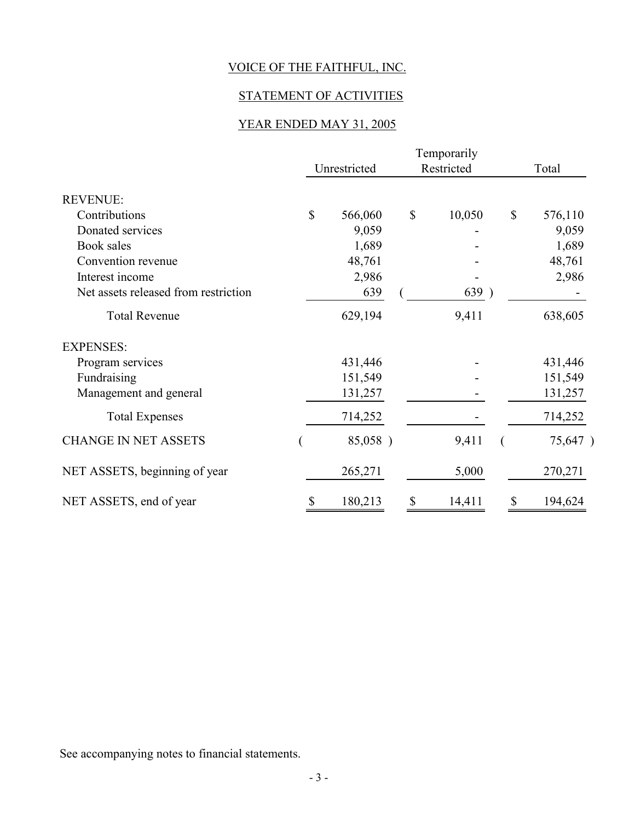## STATEMENT OF ACTIVITIES

## YEAR ENDED MAY 31, 2005

|                                      | Temporarily |              |    |            |    |         |
|--------------------------------------|-------------|--------------|----|------------|----|---------|
|                                      |             | Unrestricted |    | Restricted |    | Total   |
| <b>REVENUE:</b>                      |             |              |    |            |    |         |
| Contributions                        | \$          | 566,060      | \$ | 10,050     | \$ | 576,110 |
| Donated services                     |             | 9,059        |    |            |    | 9,059   |
| Book sales                           |             | 1,689        |    |            |    | 1,689   |
| Convention revenue                   |             | 48,761       |    |            |    | 48,761  |
| Interest income                      |             | 2,986        |    |            |    | 2,986   |
| Net assets released from restriction |             | 639          |    | 639)       |    |         |
| <b>Total Revenue</b>                 |             | 629,194      |    | 9,411      |    | 638,605 |
| <b>EXPENSES:</b>                     |             |              |    |            |    |         |
| Program services                     |             | 431,446      |    |            |    | 431,446 |
| Fundraising                          |             | 151,549      |    |            |    | 151,549 |
| Management and general               |             | 131,257      |    |            |    | 131,257 |
| <b>Total Expenses</b>                |             | 714,252      |    |            |    | 714,252 |
| <b>CHANGE IN NET ASSETS</b>          |             | 85,058)      |    | 9,411      |    | 75,647) |
| NET ASSETS, beginning of year        |             | 265,271      |    | 5,000      |    | 270,271 |
| NET ASSETS, end of year              |             | 180,213      |    | 14,411     | \$ | 194,624 |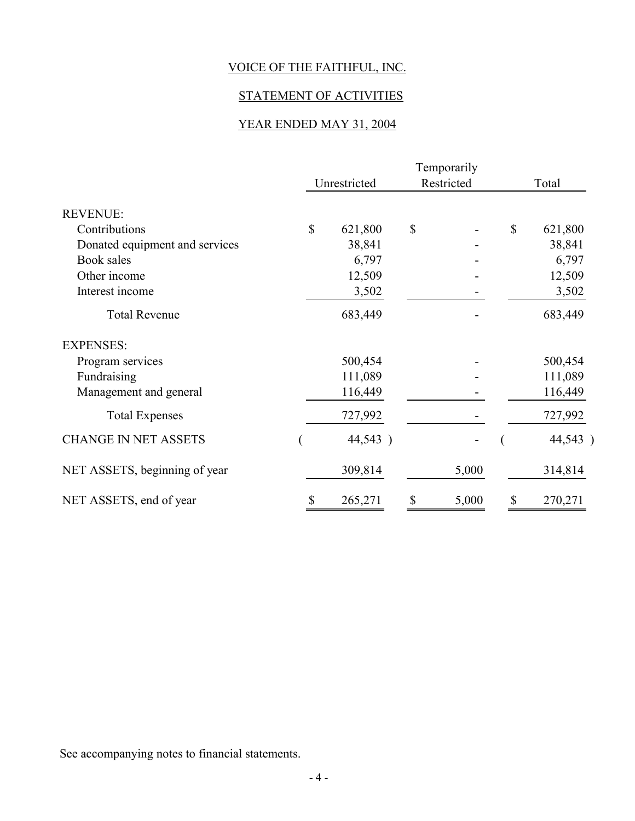## STATEMENT OF ACTIVITIES

## YEAR ENDED MAY 31, 2004

|                                | Temporarily |              |               |            |              |         |  |
|--------------------------------|-------------|--------------|---------------|------------|--------------|---------|--|
|                                |             | Unrestricted |               | Restricted |              | Total   |  |
| <b>REVENUE:</b>                |             |              |               |            |              |         |  |
| Contributions                  | \$          | 621,800      | $\mathcal{S}$ |            | $\mathbb{S}$ | 621,800 |  |
| Donated equipment and services |             | 38,841       |               |            |              | 38,841  |  |
| Book sales                     |             | 6,797        |               |            |              | 6,797   |  |
| Other income                   |             | 12,509       |               |            |              | 12,509  |  |
| Interest income                |             | 3,502        |               |            |              | 3,502   |  |
| <b>Total Revenue</b>           |             | 683,449      |               |            |              | 683,449 |  |
| <b>EXPENSES:</b>               |             |              |               |            |              |         |  |
| Program services               |             | 500,454      |               |            |              | 500,454 |  |
| Fundraising                    |             | 111,089      |               |            |              | 111,089 |  |
| Management and general         |             | 116,449      |               |            |              | 116,449 |  |
| <b>Total Expenses</b>          |             | 727,992      |               |            |              | 727,992 |  |
| <b>CHANGE IN NET ASSETS</b>    |             | 44,543)      |               |            |              | 44,543) |  |
| NET ASSETS, beginning of year  |             | 309,814      |               | 5,000      |              | 314,814 |  |
| NET ASSETS, end of year        |             | 265,271      | \$            | 5,000      | \$           | 270,271 |  |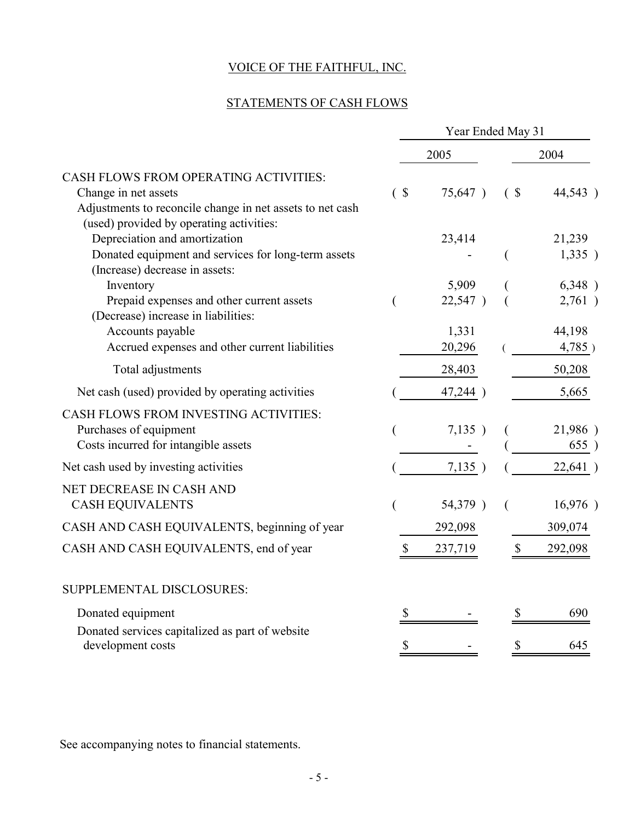## STATEMENTS OF CASH FLOWS

|                                                                                                                                                                               | Year Ended May 31 |                                     |                   |                                      |  |
|-------------------------------------------------------------------------------------------------------------------------------------------------------------------------------|-------------------|-------------------------------------|-------------------|--------------------------------------|--|
|                                                                                                                                                                               |                   | 2005                                |                   | 2004                                 |  |
| <b>CASH FLOWS FROM OPERATING ACTIVITIES:</b><br>Change in net assets<br>Adjustments to reconcile change in net assets to net cash<br>(used) provided by operating activities: |                   | 75,647)                             | (S <sub>0</sub> ) | 44,543)                              |  |
| Depreciation and amortization<br>Donated equipment and services for long-term assets<br>(Increase) decrease in assets:                                                        |                   | 23,414                              | $\overline{(}$    | 21,239<br>1,335)                     |  |
| Inventory<br>Prepaid expenses and other current assets<br>(Decrease) increase in liabilities:<br>Accounts payable<br>Accrued expenses and other current liabilities           | (                 | 5,909<br>22,547)<br>1,331<br>20,296 |                   | 6,348)<br>2,761)<br>44,198<br>4,785) |  |
| Total adjustments                                                                                                                                                             |                   | 28,403                              |                   | 50,208                               |  |
| Net cash (used) provided by operating activities                                                                                                                              |                   | 47,244 )                            |                   | 5,665                                |  |
| <b>CASH FLOWS FROM INVESTING ACTIVITIES:</b><br>Purchases of equipment<br>Costs incurred for intangible assets                                                                |                   | 7,135)                              |                   | 21,986)<br>655)                      |  |
| Net cash used by investing activities                                                                                                                                         |                   | 7,135)                              |                   | 22,641)                              |  |
| NET DECREASE IN CASH AND<br><b>CASH EQUIVALENTS</b>                                                                                                                           |                   | 54,379)                             |                   | 16,976)                              |  |
| CASH AND CASH EQUIVALENTS, beginning of year                                                                                                                                  |                   | 292,098                             |                   | 309,074                              |  |
| CASH AND CASH EQUIVALENTS, end of year                                                                                                                                        | $\mathbb{S}$      | 237,719                             |                   | 292,098                              |  |
| SUPPLEMENTAL DISCLOSURES:                                                                                                                                                     |                   |                                     |                   |                                      |  |
| Donated equipment                                                                                                                                                             | \$                |                                     | \$                | 690                                  |  |
| Donated services capitalized as part of website<br>development costs                                                                                                          | \$                |                                     | \$                | 645                                  |  |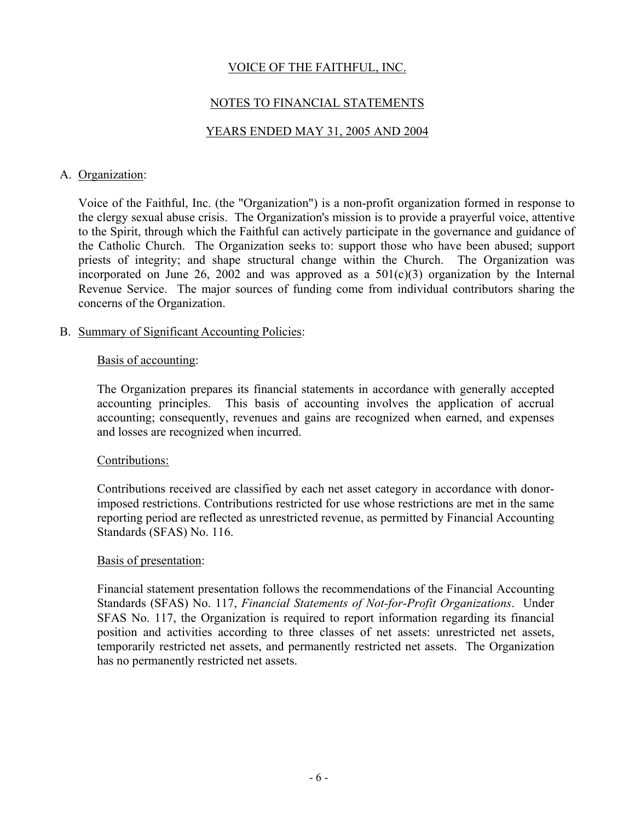## NOTES TO FINANCIAL STATEMENTS

### YEARS ENDED MAY 31, 2005 AND 2004

#### A. Organization:

Voice of the Faithful, Inc. (the "Organization") is a non-profit organization formed in response to the clergy sexual abuse crisis. The Organization's mission is to provide a prayerful voice, attentive to the Spirit, through which the Faithful can actively participate in the governance and guidance of the Catholic Church. The Organization seeks to: support those who have been abused; support priests of integrity; and shape structural change within the Church. The Organization was incorporated on June 26, 2002 and was approved as a  $501(c)(3)$  organization by the Internal Revenue Service. The major sources of funding come from individual contributors sharing the concerns of the Organization.

### B. Summary of Significant Accounting Policies:

#### Basis of accounting:

The Organization prepares its financial statements in accordance with generally accepted accounting principles. This basis of accounting involves the application of accrual accounting; consequently, revenues and gains are recognized when earned, and expenses and losses are recognized when incurred.

#### Contributions:

Contributions received are classified by each net asset category in accordance with donorimposed restrictions. Contributions restricted for use whose restrictions are met in the same reporting period are reflected as unrestricted revenue, as permitted by Financial Accounting Standards (SFAS) No. 116.

#### Basis of presentation:

Financial statement presentation follows the recommendations of the Financial Accounting Standards (SFAS) No. 117, *Financial Statements of Not-for-Profit Organizations*. Under SFAS No. 117, the Organization is required to report information regarding its financial position and activities according to three classes of net assets: unrestricted net assets, temporarily restricted net assets, and permanently restricted net assets. The Organization has no permanently restricted net assets.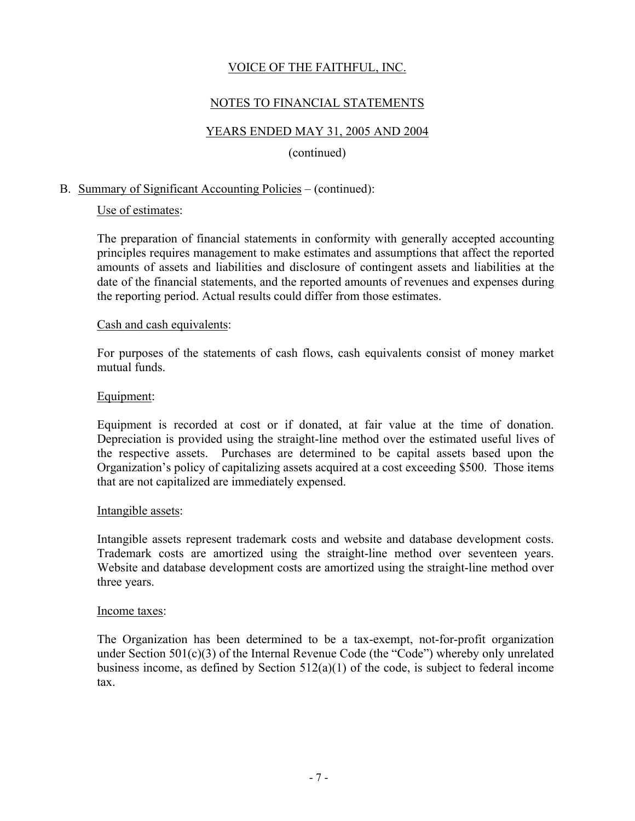## NOTES TO FINANCIAL STATEMENTS

## YEARS ENDED MAY 31, 2005 AND 2004

#### (continued)

### B. Summary of Significant Accounting Policies – (continued):

#### Use of estimates:

The preparation of financial statements in conformity with generally accepted accounting principles requires management to make estimates and assumptions that affect the reported amounts of assets and liabilities and disclosure of contingent assets and liabilities at the date of the financial statements, and the reported amounts of revenues and expenses during the reporting period. Actual results could differ from those estimates.

#### Cash and cash equivalents:

For purposes of the statements of cash flows, cash equivalents consist of money market mutual funds.

#### Equipment:

Equipment is recorded at cost or if donated, at fair value at the time of donation. Depreciation is provided using the straight-line method over the estimated useful lives of the respective assets. Purchases are determined to be capital assets based upon the Organization's policy of capitalizing assets acquired at a cost exceeding \$500. Those items that are not capitalized are immediately expensed.

#### Intangible assets:

Intangible assets represent trademark costs and website and database development costs. Trademark costs are amortized using the straight-line method over seventeen years. Website and database development costs are amortized using the straight-line method over three years.

#### Income taxes:

The Organization has been determined to be a tax-exempt, not-for-profit organization under Section 501(c)(3) of the Internal Revenue Code (the "Code") whereby only unrelated business income, as defined by Section 512(a)(1) of the code, is subject to federal income tax.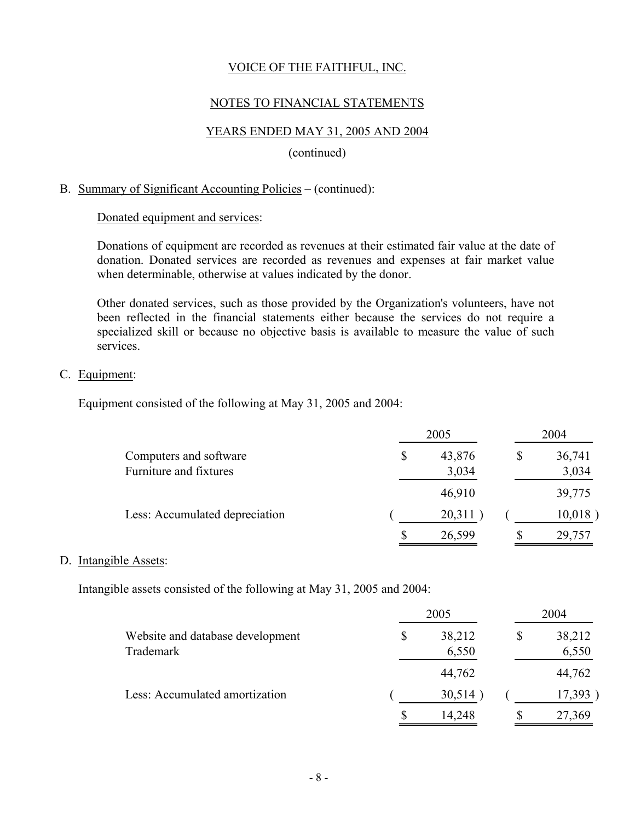### NOTES TO FINANCIAL STATEMENTS

### YEARS ENDED MAY 31, 2005 AND 2004

#### (continued)

#### B. Summary of Significant Accounting Policies – (continued):

#### Donated equipment and services:

Donations of equipment are recorded as revenues at their estimated fair value at the date of donation. Donated services are recorded as revenues and expenses at fair market value when determinable, otherwise at values indicated by the donor.

Other donated services, such as those provided by the Organization's volunteers, have not been reflected in the financial statements either because the services do not require a specialized skill or because no objective basis is available to measure the value of such services.

#### C. Equipment:

Equipment consisted of the following at May 31, 2005 and 2004:

|                                                  |    | 2004            |    |                 |
|--------------------------------------------------|----|-----------------|----|-----------------|
| Computers and software<br>Furniture and fixtures | \$ | 43,876<br>3,034 | \$ | 36,741<br>3,034 |
|                                                  |    | 46,910          |    | 39,775          |
| Less: Accumulated depreciation                   |    | 20,311          |    | 10,018          |
|                                                  | \$ | 26,599          |    | 29,757          |

#### D. Intangible Assets:

Intangible assets consisted of the following at May 31, 2005 and 2004:

|                                               |    | 2004            |    |                 |
|-----------------------------------------------|----|-----------------|----|-----------------|
| Website and database development<br>Trademark | \$ | 38,212<br>6,550 | \$ | 38,212<br>6,550 |
|                                               |    | 44,762          |    | 44,762          |
| Less: Accumulated amortization                |    | 30,514          |    | 17,393          |
|                                               | \$ | 14,248          | \$ | 27,369          |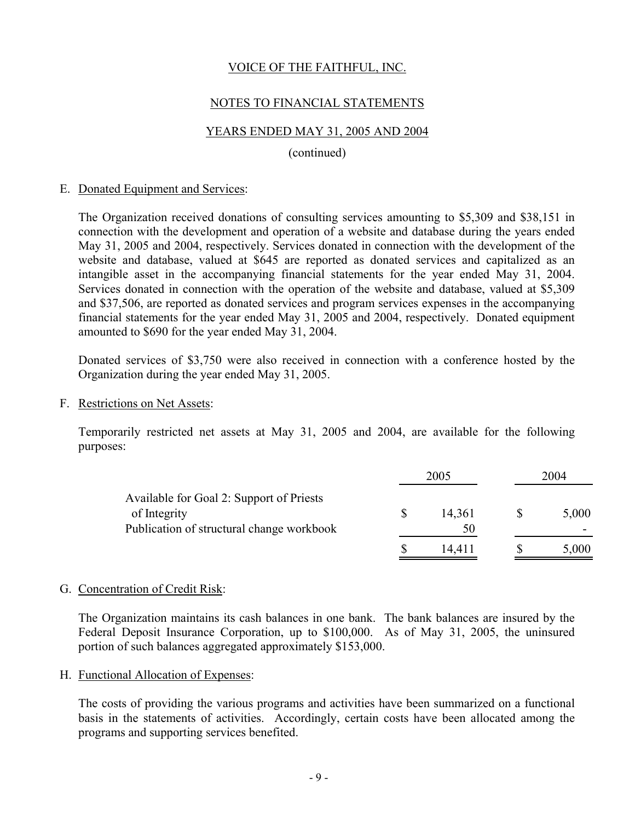### NOTES TO FINANCIAL STATEMENTS

### YEARS ENDED MAY 31, 2005 AND 2004

#### (continued)

#### E. Donated Equipment and Services:

The Organization received donations of consulting services amounting to \$5,309 and \$38,151 in connection with the development and operation of a website and database during the years ended May 31, 2005 and 2004, respectively. Services donated in connection with the development of the website and database, valued at \$645 are reported as donated services and capitalized as an intangible asset in the accompanying financial statements for the year ended May 31, 2004. Services donated in connection with the operation of the website and database, valued at \$5,309 and \$37,506, are reported as donated services and program services expenses in the accompanying financial statements for the year ended May 31, 2005 and 2004, respectively. Donated equipment amounted to \$690 for the year ended May 31, 2004.

Donated services of \$3,750 were also received in connection with a conference hosted by the Organization during the year ended May 31, 2005.

F. Restrictions on Net Assets:

Temporarily restricted net assets at May 31, 2005 and 2004, are available for the following purposes:

|                                                                                                       | 2005         | 2004 |       |
|-------------------------------------------------------------------------------------------------------|--------------|------|-------|
| Available for Goal 2: Support of Priests<br>of Integrity<br>Publication of structural change workbook | 14,361<br>50 |      | 5,000 |
|                                                                                                       | 14.411       |      | 5,000 |

#### G. Concentration of Credit Risk:

The Organization maintains its cash balances in one bank. The bank balances are insured by the Federal Deposit Insurance Corporation, up to \$100,000. As of May 31, 2005, the uninsured portion of such balances aggregated approximately \$153,000.

H. Functional Allocation of Expenses:

The costs of providing the various programs and activities have been summarized on a functional basis in the statements of activities. Accordingly, certain costs have been allocated among the programs and supporting services benefited.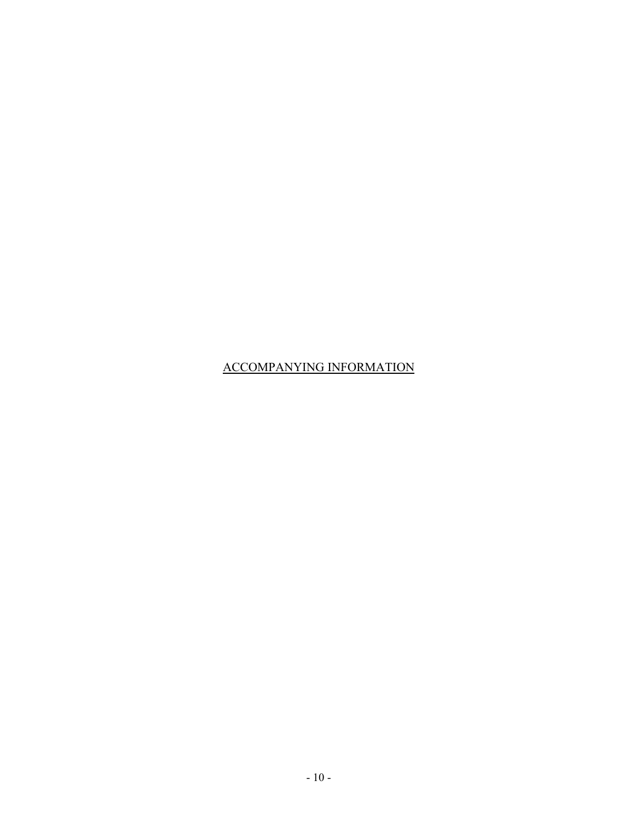## ACCOMPANYING INFORMATION